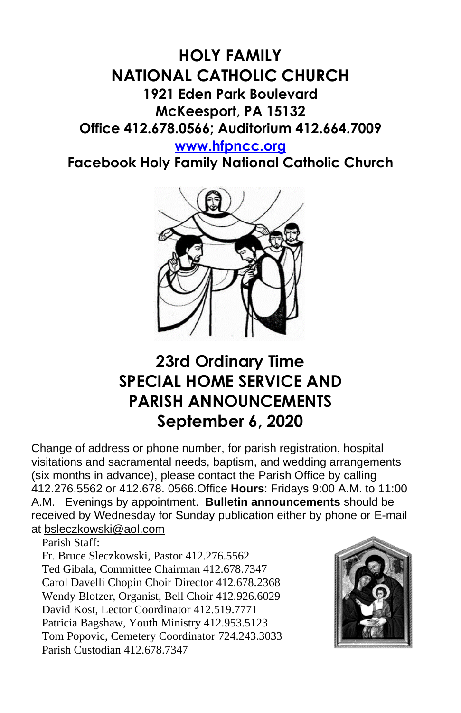# **HOLY FAMILY NATIONAL CATHOLIC CHURCH 1921 Eden Park Boulevard McKeesport, PA 15132 Office 412.678.0566; Auditorium 412.664.7009**

**[www.hfpncc.org](http://www.hfpncc.org/) Facebook Holy Family National Catholic Church**



# **23rd Ordinary Time SPECIAL HOME SERVICE AND PARISH ANNOUNCEMENTS September 6, 2020**

Change of address or phone number, for parish registration, hospital visitations and sacramental needs, baptism, and wedding arrangements (six months in advance), please contact the Parish Office by calling 412.276.5562 or 412.678. 0566.Office **Hours**: Fridays 9:00 A.M. to 11:00 A.M. Evenings by appointment. **Bulletin announcements** should be received by Wednesday for Sunday publication either by phone or E-mail at [bsleczkowski@aol.com](mailto:bsleczkowski@aol.com)

Parish Staff:

Fr. Bruce Sleczkowski, Pastor 412.276.5562 Ted Gibala, Committee Chairman 412.678.7347 Carol Davelli Chopin Choir Director 412.678.2368 Wendy Blotzer, Organist, Bell Choir 412.926.6029 David Kost, Lector Coordinator 412.519.7771 Patricia Bagshaw, Youth Ministry 412.953.5123 Tom Popovic, Cemetery Coordinator 724.243.3033 Parish Custodian 412.678.7347

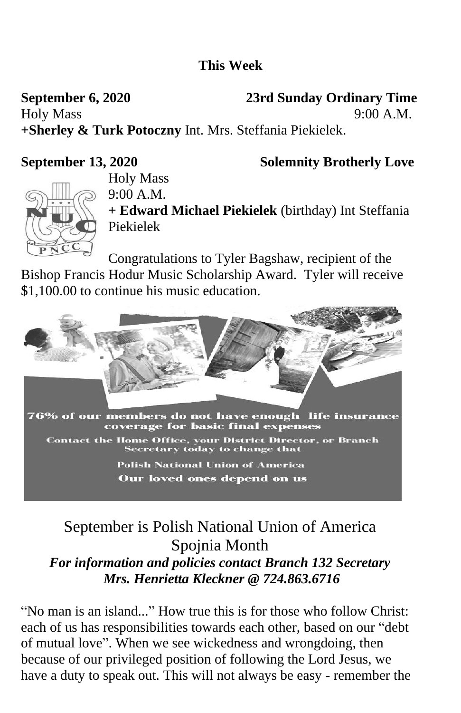## **This Week**

**September 6, 2020 23rd Sunday Ordinary Time** Holy Mass 9:00 A.M. **+Sherley & Turk Potoczny** Int. Mrs. Steffania Piekielek.

### **September 13, 2020 Solemnity Brotherly Love**



Holy Mass 9:00 A.M.

**+ Edward Michael Piekielek** (birthday) Int Steffania Piekielek

Congratulations to Tyler Bagshaw, recipient of the Bishop Francis Hodur Music Scholarship Award. Tyler will receive \$1,100.00 to continue his music education.



# September is Polish National Union of America Spojnia Month *For information and policies contact Branch 132 Secretary Mrs. Henrietta Kleckner @ 724.863.6716*

"No man is an island..." How true this is for those who follow Christ: each of us has responsibilities towards each other, based on our "debt of mutual love". When we see wickedness and wrongdoing, then because of our privileged position of following the Lord Jesus, we have a duty to speak out. This will not always be easy - remember the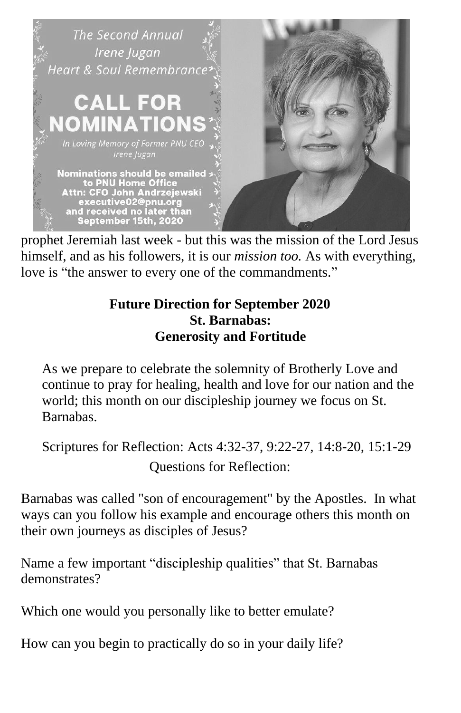

prophet Jeremiah last week - but this was the mission of the Lord Jesus himself, and as his followers, it is our *mission too.* As with everything, love is "the answer to every one of the commandments."

## **Future Direction for September 2020 St. Barnabas: Generosity and Fortitude**

As we prepare to celebrate the solemnity of Brotherly Love and continue to pray for healing, health and love for our nation and the world; this month on our discipleship journey we focus on St. Barnabas.

Scriptures for Reflection: Acts 4:32-37, 9:22-27, 14:8-20, 15:1-29 Questions for Reflection:

Barnabas was called "son of encouragement" by the Apostles. In what ways can you follow his example and encourage others this month on their own journeys as disciples of Jesus?

Name a few important "discipleship qualities" that St. Barnabas demonstrates?

Which one would you personally like to better emulate?

How can you begin to practically do so in your daily life?